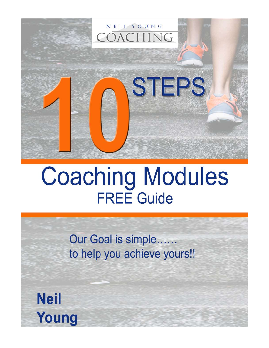

# **Coaching Modules FREE Guide**

Our Goal is simple...... to help you achieve yours!!

**Neil** Young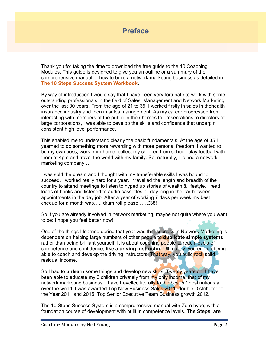#### Preface

Thank you for taking the time to download the free guide to the 10 Coaching Modules. This guide is designed to give you an outline or a summary of the comprehensive manual of how to build a network marketing business as detailed in [The 10 Steps Success System Workbook.](https://neilyoungcoaching.com/product/ebook)

By way of introduction I would say that I have been very fortunate to work with some outstanding professionals in the field of Sales, Management and Network Marketing over the last 30 years. From the age of 21 to 35, I worked firstly in sales in thehealth insurance industry and then in sales management. As my career progressed from interacting with members of the public in their homes to presentations to directors of large corporations, I was able to develop the skills and confidence that underpin consistent high level performance.

This enabled me to understand clearly the basic fundamentals. At the age of 35 I yearned to do something more rewarding with more personal freedom: I wanted to be my own boss, work from home, collect my children from school, play football with them at 4pm and travel the world with my family. So, naturally, I joined a network marketing company…

I was sold the dream and I thought with my transferable skills I was bound to succeed. I worked really hard for a year. I travelled the length and breadth of the country to attend meetings to listen to hyped up stories of wealth & lifestyle. I read loads of books and listened to audio cassettes all day long in the car between appointments in the day job. After a year of working 7 days per week my best cheque for a month was….. drum roll please….. £38!

So if you are already involved in network marketing, maybe not quite where you want to be; I hope you feel better now!

One of the things I learned during that year was that success in Network Marketing is dependent on helping large numbers of other people to **duplicate simple systems** rather than being brilliant yourself. It is about coaching people to reach levels of competence and confidence; like a driving instructor. Ultimately, you end up being able to coach and develop the driving instructors. That way, you build rock solid residual income.

So I had to **unlearn** some things and develop new skills. Twenty years on, I have been able to educate my 3 children privately from my only income; that of my network marketing business. I have travelled literally to the best 5<sup>\*</sup> destinations all over the world. I was awarded Top New Business Sales 2011, double Distributor of the Year 2011 and 2015, Top Senior Executive Team Business growth 2012.

The 10 Steps Success System is a comprehensive manual with Zero hype; with a foundation course of development with built in competence levels. The Steps are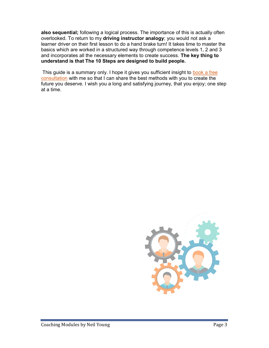also sequential; following a logical process. The importance of this is actually often overlooked. To return to my driving instructor analogy; you would not ask a learner driver on their first lesson to do a hand brake turn! It takes time to master the basics which are worked in a structured way through competence levels 1, 2 and 3 and incorporates all the necessary elements to create success. The key thing to understand is that The 10 Steps are designed to build people.

 This guide is a summary only. I hope it gives you sufficient insight to [book a free](https://neilyoungcoaching.com/consultation)  [consultation](https://neilyoungcoaching.com/consultation) with me so that I can share the best methods with you to create the future you deserve. I wish you a long and satisfying journey, that you enjoy; one step at a time.

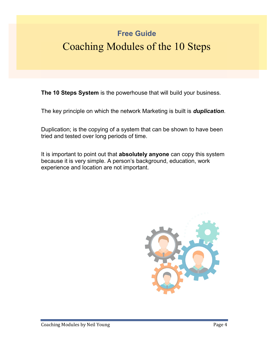# Free Guide

# Coaching Modules of the 10 Steps

The 10 Steps System is the powerhouse that will build your business.

The key principle on which the network Marketing is built is *duplication*.

Duplication; is the copying of a system that can be shown to have been tried and tested over long periods of time.

It is important to point out that absolutely anyone can copy this system because it is very simple. A person's background, education, work experience and location are not important.

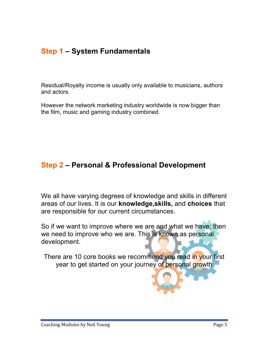# Step 1 – System Fundamentals

Residual/Royalty income is usually only available to musicians, authors and actors.

However the network marketing industry worldwide is now bigger than the film, music and gaming industry combined.

#### Step 2 – Personal & Professional Development

We all have varying degrees of knowledge and skills in different areas of our lives. It is our knowledge,skills, and choices that are responsible for our current circumstances.

So if we want to improve where we are and what we have; then we need to improve who we are. This is known as personal development.

There are 10 core books we recommend you read in your first year to get started on your journey of personal growth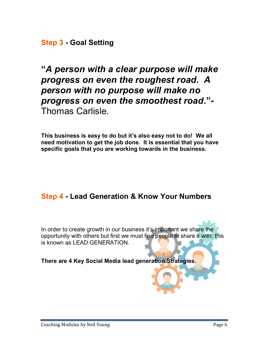Step 3 - Goal Setting

"A person with a clear purpose will make progress on even the roughest road. A person with no purpose will make no progress on even the smoothest road."- Thomas Carlisle.

This business is easy to do but it's also easy not to do! We all need motivation to get the job done. It is essential that you have specific goals that you are working towards in the business.

## Step 4 - Lead Generation & Know Your Numbers

In order to create growth in our business it's important we share the opportunity with others but first we must find people to share it with; this is known as LEAD GENERATION.

There are 4 Key Social Media lead generation Strategies.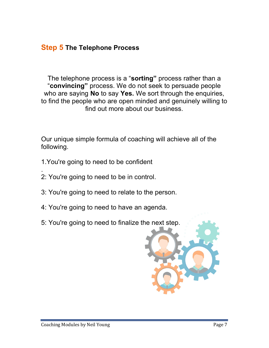#### **Step 5 The Telephone Process**

The telephone process is a "sorting" process rather than a "convincing" process. We do not seek to persuade people who are saying No to say Yes. We sort through the enquiries, to find the people who are open minded and genuinely willing to find out more about our business.

Our unique simple formula of coaching will achieve all of the following.

- 1.You're going to need to be confident
- . 2: You're going to need to be in control.
- 3: You're going to need to relate to the person.
- 4: You're going to need to have an agenda.
- 5: You're going to need to finalize the next step.

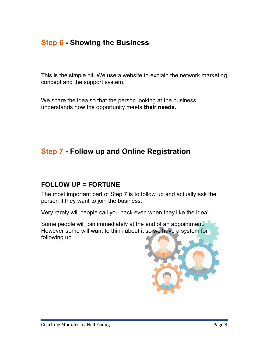# Step 6 - Showing the Business

This is the simple bit. We use a website to explain the network marketing concept and the support system.

We share the idea so that the person looking at the business understands how the opportunity meets their needs.

# Step 7 - Follow up and Online Registration

#### FOLLOW UP = FORTUNE

The most important part of Step 7 is to follow up and actually ask the person if they want to join the business.

Very rarely will people call you back even when they like the idea!

Some people will join immediately at the end of an appointment. However some will want to think about it so we have a system for following up

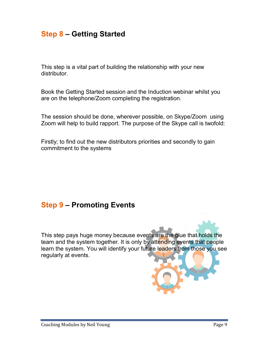# Step 8 – Getting Started

This step is a vital part of building the relationship with your new distributor.

Book the Getting Started session and the Induction webinar whilst you are on the telephone/Zoom completing the registration.

The session should be done, wherever possible, on Skype/Zoom using Zoom will help to build rapport. The purpose of the Skype call is twofold:

Firstly; to find out the new distributors priorities and secondly to gain commitment to the systems

#### Step 9 – Promoting Events

This step pays huge money because events are the glue that holds the team and the system together. It is only by attending events that people learn the system. You will identify your future leaders from those you see regularly at events.